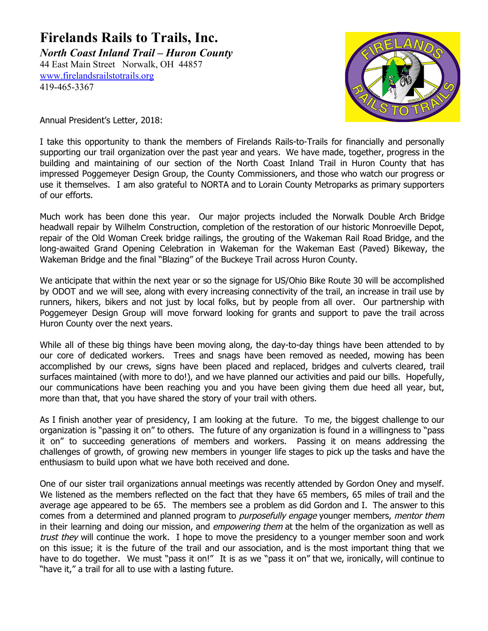## **Firelands Rails to Trails, Inc.** *North Coast Inland Trail – Huron County*

44 East Main Street Norwalk, OH 44857 [www.firelandsrailstotrails.org](http://www.firelandsrailstotrails.org/) 419-465-3367



Annual President's Letter, 2018:

I take this opportunity to thank the members of Firelands Rails-to-Trails for financially and personally supporting our trail organization over the past year and years. We have made, together, progress in the building and maintaining of our section of the North Coast Inland Trail in Huron County that has impressed Poggemeyer Design Group, the County Commissioners, and those who watch our progress or use it themselves. I am also grateful to NORTA and to Lorain County Metroparks as primary supporters of our efforts.

Much work has been done this year. Our major projects included the Norwalk Double Arch Bridge headwall repair by Wilhelm Construction, completion of the restoration of our historic Monroeville Depot, repair of the Old Woman Creek bridge railings, the grouting of the Wakeman Rail Road Bridge, and the long-awaited Grand Opening Celebration in Wakeman for the Wakeman East (Paved) Bikeway, the Wakeman Bridge and the final "Blazing" of the Buckeye Trail across Huron County.

We anticipate that within the next year or so the signage for US/Ohio Bike Route 30 will be accomplished by ODOT and we will see, along with every increasing connectivity of the trail, an increase in trail use by runners, hikers, bikers and not just by local folks, but by people from all over. Our partnership with Poggemeyer Design Group will move forward looking for grants and support to pave the trail across Huron County over the next years.

While all of these big things have been moving along, the day-to-day things have been attended to by our core of dedicated workers. Trees and snags have been removed as needed, mowing has been accomplished by our crews, signs have been placed and replaced, bridges and culverts cleared, trail surfaces maintained (with more to do!), and we have planned our activities and paid our bills. Hopefully, our communications have been reaching you and you have been giving them due heed all year, but, more than that, that you have shared the story of your trail with others.

As I finish another year of presidency, I am looking at the future. To me, the biggest challenge to our organization is "passing it on" to others. The future of any organization is found in a willingness to "pass it on" to succeeding generations of members and workers. Passing it on means addressing the challenges of growth, of growing new members in younger life stages to pick up the tasks and have the enthusiasm to build upon what we have both received and done.

One of our sister trail organizations annual meetings was recently attended by Gordon Oney and myself. We listened as the members reflected on the fact that they have 65 members, 65 miles of trail and the average age appeared to be 65. The members see a problem as did Gordon and I. The answer to this comes from a determined and planned program to *purposefully engage* younger members, *mentor them* in their learning and doing our mission, and *empowering them* at the helm of the organization as well as trust they will continue the work. I hope to move the presidency to a younger member soon and work on this issue; it is the future of the trail and our association, and is the most important thing that we have to do together. We must "pass it on!" It is as we "pass it on" that we, ironically, will continue to "have it," a trail for all to use with a lasting future.